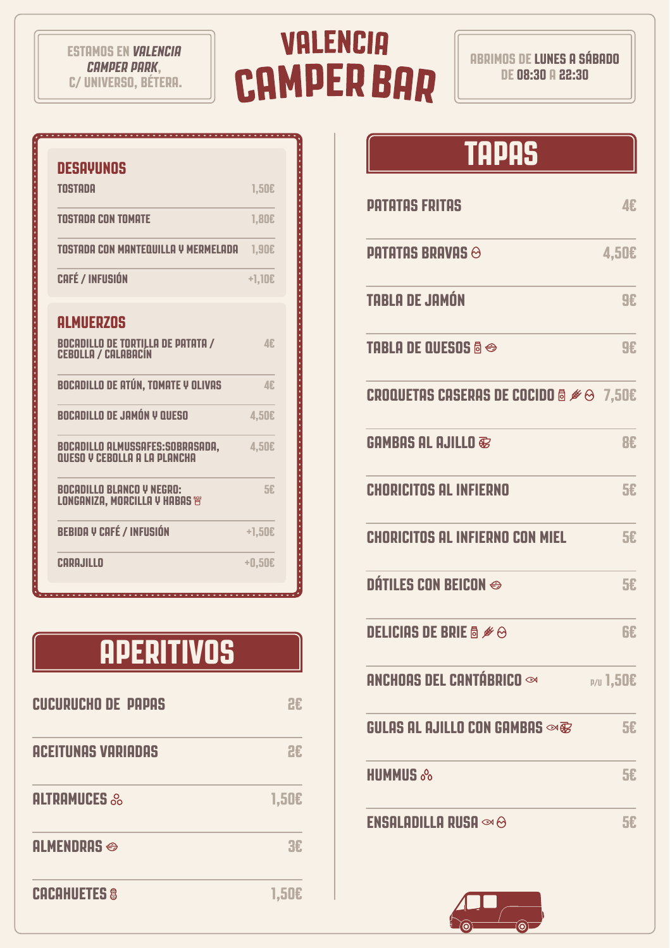#### **ESTAMOS EN** *VALENCIA CAMPER PARK***, C/ UNIVERSO, BÉTERA.**

# **VALENCIA CAMPER BAR**

**ABRIMOS DE LUNES A SÁBADO DE 08:30 A 22:30**

| DESAYUNOS                                                                           |            |
|-------------------------------------------------------------------------------------|------------|
| <b>TNSTANA</b>                                                                      | 1,50E      |
| <b>TOSTADA CON TOMATE</b>                                                           | 1,80E      |
| TOSTADA CON MANTEQUILLA Y MERMELADA                                                 | 1,90E      |
| <b>CAFÉ / INFUSIÓN</b>                                                              | $+1,10E$   |
| <b>ALMUERZOS</b><br><b>BOCADILLO DE TORTILLA DE PATATA /</b><br>CEBOLLA / CALABACÍN | <b>∆</b> € |
| <b>BOCADILLO DE ATÚN, TOMATE Y OLIVAS</b>                                           | <b>∆</b> € |
| BOCADILLO DE JAMÓN Y QUESO                                                          | 4,50€      |
| BOCADILLO ALMUSSAFES:SOBRASADA,<br>QUESO Y CEBOLLA A LA PLANCHA                     | 4,50€      |
| BOCADILLO BLANCO V NEGRO:<br>LONGANIZA, MORCILLA Y HABAS i                          | 5£         |
| <b>BEBIDA Y CAFÉ / INFUSIÓN</b>                                                     | $+1,50E$   |
| CARAJILLO                                                                           | +0,50€     |

### **APERITIVOS**

. . . . . . . . . . . . . . . . . . .

| <b>CUCURUCHO DE PAPAS</b> | HЕ    |
|---------------------------|-------|
| <b>ACEITUNAS VARIADAS</b> | 2£    |
| <b>ALTRAMUCES &amp;</b>   | 1,50E |
| <b>ALMENDRAS ↔</b>        | ЯF    |
| <b>CACAHUETES &amp;</b>   | 1,50  |

#### **TAPAS**

| <b>PATATAS FRITAS</b>                                                                  | 4E               |
|----------------------------------------------------------------------------------------|------------------|
| <b>PATATAS BRAVAS ↔</b>                                                                | <b>4,50€</b>     |
| <b>TABLA DE JAMÓN</b>                                                                  | <b>9£</b>        |
| <b>TABLA DE QUESOS &amp; ↔</b>                                                         | <b>9£</b>        |
| <b>CROQUETAS CASERAS DE COCIDO &amp; <math>\mathscr{B} \ominus 7,50\epsilon</math></b> |                  |
| <b>GAMBAS AL AJILLO ®</b>                                                              | <b>BE</b>        |
| <b>CHORICITOS AL INFIERNO</b>                                                          | <b>5£</b>        |
| <b>CHORICITOS AL INFIERNO CON MIEL</b>                                                 | 5£               |
| <b>DÁTILES CON BEICON ↔</b>                                                            | 5£               |
| <b>DELICIAS DE BRIE &amp; Ø &amp;</b>                                                  | 6£               |
| ANCHOAS DEL CANTÁBRICO ∞                                                               | <b>P/U 1,50€</b> |
| GULAS AL AJILLO CON GAMBAS $\otimes$ B                                                 | 5£               |
| <b>HUMMUS &amp;</b>                                                                    | 5£               |
| <b>ENSALADILLA RUSA</b> $\infty$ $\odot$                                               | 5£               |

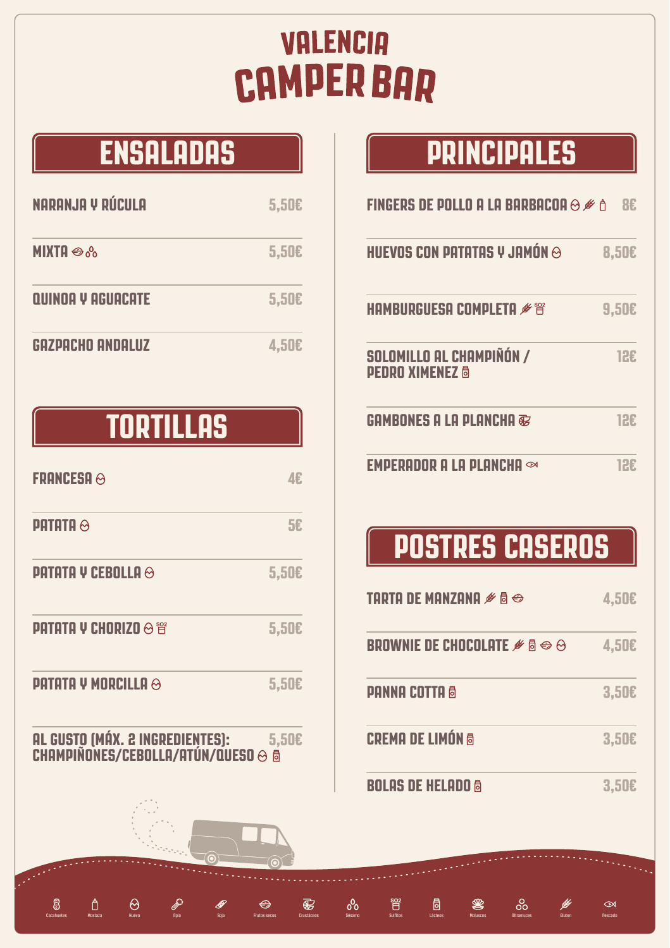# **VALENCIA CAMPER BAR**

Cacahuetes Mostaza Huevo Apio Soja Frutos secos Crustáceos Sésamo Sulfitos Lácteos Moluscos Altramuces Gluten Pescado

 $\blacksquare$ 

❀

 $\overline{\bigoplus}$ 

 $\bigoplus$ 

## **ENSALADAS**

| <b>NARANJA Y RÚCULA</b>          | 5,50E |
|----------------------------------|-------|
| <b>MIXTA</b> $\otimes$ $\otimes$ | 5,50E |
| <b>QUINOA Y AGUACATE</b>         | 5,50E |
| GAZPACHO ANDALUZ                 | 4,50E |

#### **TORTILLAS**

| <b>FRANCESA</b> $\otimes$                                                | 46.        |
|--------------------------------------------------------------------------|------------|
| <b>PATATA <math>\odot</math></b>                                         | 5£         |
| <b>PATATA Y CEBOLLA <math>\odot</math></b>                               | 5,50E      |
| <b>PATATA V CHORIZO</b> $\otimes$ is                                     | 5,50E      |
| <b>PATATA Y MORCILLA <math>\odot</math></b>                              | 5,50E      |
| AL GUSTO (MÁX. 2 INGREDIENTES):<br>$CHAMPIÑONES/CEBOLLA/ATÚN/QUESO\odot$ | 5,50E<br>局 |

8

Ô

## **PRINCIPALES**

| <b>FINGERS DE POLLO A LA BARBACOA <math>\odot</math> <math>\cancel{\mathscr{E}}</math> <math>\land</math></b> |              |
|---------------------------------------------------------------------------------------------------------------|--------------|
| HUEVOS CON PATATAS Y JAMÓN $\odot$                                                                            | <b>8,50€</b> |
| HAMBURGUESA COMPLETA $\mathscr{I}^{\otimes 2}$                                                                | 9,50E        |
| SOLOMILLO AL CHAMPIÑÓN /<br><b>PEDRO XIMENEZ &amp;</b>                                                        | 12£          |
| GAMBONES A LA PLANCHA $\overline{\bm{\mathscr{C}}}$                                                           | 12E          |
| EMPERADOR A LA PLANCHA $\infty$                                                                               |              |

## **POSTRES CASEROS**

| <b>TARTA DE MANZANA <math>\mathscr{I} \mathfrak{g} \oplus</math></b>                  | 4,50E        |
|---------------------------------------------------------------------------------------|--------------|
| <b>BROWNIE DE CHOCOLATE <math>\mathscr{I} \mathfrak{g} \oplus \mathfrak{S}</math></b> | <b>4,50€</b> |
| <b>PANNA COTTA 6</b>                                                                  | 3,50E        |
| <b>CREMA DE LIMÓN ®</b>                                                               | 3,50E        |
| BOLAS DE HELADO ®                                                                     | 3,50E        |

 $^{o}$